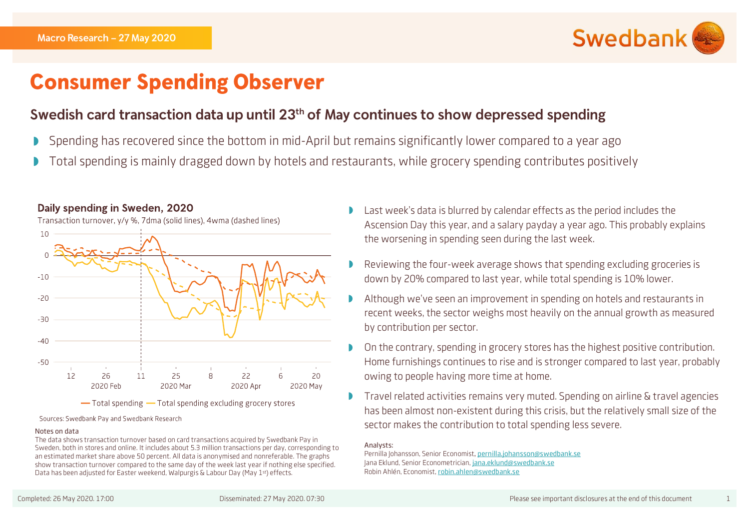T



# **Consumer Spending Observer**

## Swedish card transaction data up until 23<sup>th</sup> of May continues to show depressed spending

- Spending has recovered since the bottom in mid-April but remains significantly lower compared to a year ago
- Total spending is mainly dragged down by hotels and restaurants, while grocery spending contributes positively

### Daily spending in Sweden, 2020

Transaction turnover, y/y %, 7dma (solid lines), 4wma (dashed lines)



Sources: Swedbank Pay and Swedbank Research

### Notes on data

The data shows transaction turnover based on card transactions acquired by Swedbank Pay in Sweden, both in stores and online. It includes about 5.3 million transactions per day, corresponding to an estimated market share above 50 percent. All data is anonymised and nonreferable. The graphs show transaction turnover compared to the same day of the week last year if nothing else specified. Data has been adjusted for Easter weekend, Walpurgis & Labour Day (May 1st) effects.

- Last week's data is blurred by calendar effects as the period includes the Ascension Day this year, and a salary payday a year ago. This probably explains the worsening in spending seen during the last week.
- Reviewing the four-week average shows that spending excluding groceries is down by 20% compared to last year, while total spending is 10% lower.
- Although we've seen an improvement in spending on hotels and restaurants in recent weeks, the sector weighs most heavily on the annual growth as measured by contribution per sector.
- On the contrary, spending in grocery stores has the highest positive contribution. Home furnishings continues to rise and is stronger compared to last year, probably owing to people having more time at home.
- Travel related activities remains very muted. Spending on airline & travel agencies has been almost non-existent during this crisis, but the relatively small size of the sector makes the contribution to total spending less severe.

### Analysts:

Pernilla Johansson, Senior Economist, [pernilla.johansson@swedbank.se](mailto:pernilla.johansson@swedbank.se) Jana Eklund, Senior Econometrician, [jana.eklund@swedbank.se](mailto:jana.eklund@swedbank.se) Robin Ahlén, Economist, robin.ahlen@swedbank.se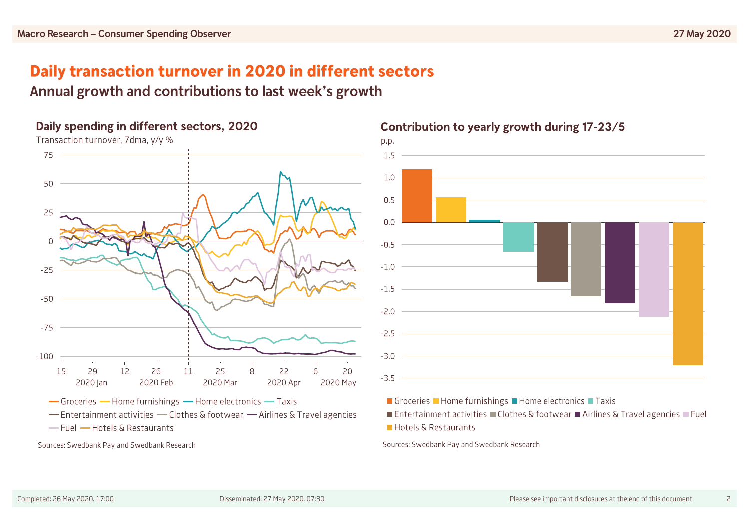## Daily transaction turnover in 2020 in different sectors

## Annual growth and contributions to last week's growth

## Daily spending in different sectors, 2020



- Entertainment activities - Clothes & footwear - Airlines & Travel agencies - Fuel - Hotels & Restaurants

Sources: Swedbank Pay and Swedbank Research

## Contribution to yearly growth during 17-23/5



Groceries Home furnishings Home electronics Taxis

■ Entertainment activities ■ Clothes & footwear ■ Airlines & Travel agencies ■ Fuel Hotels & Restaurants

Sources: Swedbank Pay and Swedbank Research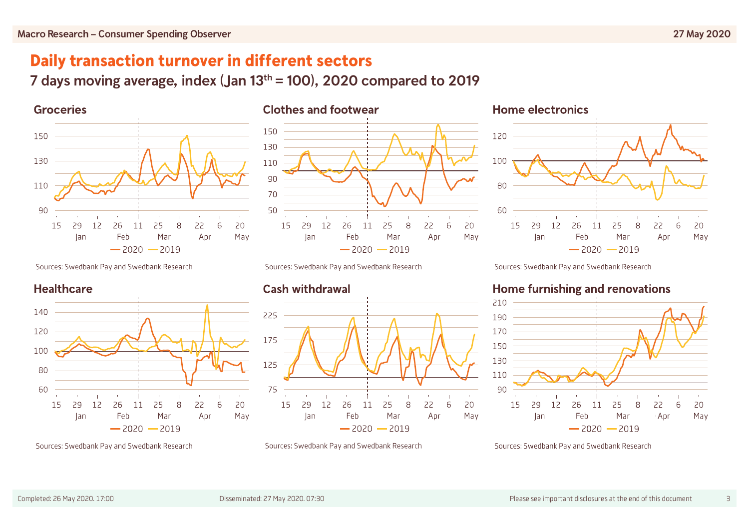## Daily transaction turnover in different sectors

7 days moving average, index  $(Jan 13<sup>th</sup> = 100)$ , 2020 compared to 2019



Sources: Swedbank Pay and Swedbank Research



Sources: Swedbank Pay and Swedbank Research



Sources: Swedbank Pay and Swedbank Research

### **Cash withdrawal**



Sources: Swedbank Pay and Swedbank Research





Sources: Swedbank Pay and Swedbank Research

### Home furnishing and renovations



Sources: Swedbank Pay and Swedbank Research

 $\overline{3}$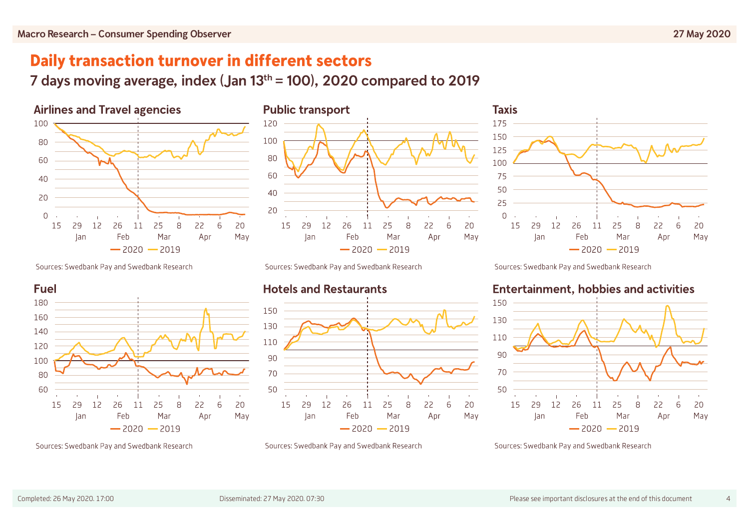## Daily transaction turnover in different sectors

7 days moving average, index (Jan 13th = 100), 2020 compared to 2019



**Public transport** 120 100 80 60 40 20  $15$ 29  $12$ 26  $11$  $75$  $\beta$ 22 20 6 Feb Mar Apr lan May  $-2020 - 2019$ 

Sources: Swedbank Pay and Swedbank Research



Sources: Swedbank Pay and Swedbank Research

Sources: Swedbank Pay and Swedbank Research





Sources: Swedbank Pay and Swedbank Research



Sources: Swedbank Pay and Swedbank Research

### **Entertainment, hobbies and activities**



Sources: Swedbank Pay and Swedbank Research

 $\overline{4}$